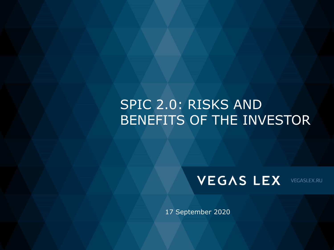# SPIC 2.0: RISKS AND BENEFITS OF THE INVESTOR



VEGASLEX.RU

17 September 2020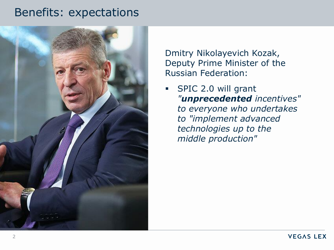### Benefits: expectations



Dmitry Nikolayevich Kozak, Deputy Prime Minister of the Russian Federation:

▪ SPIC 2.0 will grant *"unprecedented incentives" to everyone who undertakes to "implement advanced technologies up to the middle production"*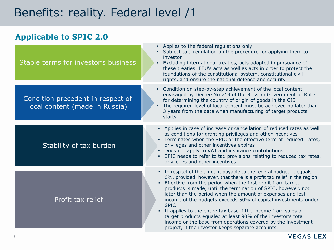# Benefits: reality. Federal level /1

### **Applicable to SPIC 2.0**

| Stable terms for investor's business                                | Applies to the federal regulations only<br>Subject to a regulation on the procedure for applying them to<br>investor<br>Excluding international treaties, acts adopted in pursuance of<br>these treaties, EEU's acts as well as acts in order to protect the<br>foundations of the constitutional system, constitutional civil<br>rights, and ensure the national defence and security                                                                                                                                                                                                                                                                                                        |
|---------------------------------------------------------------------|-----------------------------------------------------------------------------------------------------------------------------------------------------------------------------------------------------------------------------------------------------------------------------------------------------------------------------------------------------------------------------------------------------------------------------------------------------------------------------------------------------------------------------------------------------------------------------------------------------------------------------------------------------------------------------------------------|
| Condition precedent in respect of<br>local content (made in Russia) | Condition on step-by-step achievement of the local content<br>٠<br>envisaged by Decree No.719 of the Russian Government or Rules<br>for determining the country of origin of goods in the CIS<br>The required level of local content must be achieved no later than<br>3 years from the date when manufacturing of target products<br>starts                                                                                                                                                                                                                                                                                                                                                  |
| Stability of tax burden                                             | • Applies in case of increase or cancellation of reduced rates as well<br>as conditions for granting privileges and other incentives<br>" Terminates when the SPIC or the effective term of reduced rates,<br>privileges and other incentives expires<br>• Does not apply to VAT and insurance contributions<br>• SPIC needs to refer to tax provisions relating to reduced tax rates,<br>privileges and other incentives                                                                                                                                                                                                                                                                     |
| Profit tax relief                                                   | • In respect of the amount payable to the federal budget, it equals<br>0%, provided, however, that there is a profit tax relief in the region<br>Effective from the period when the first profit from target<br>٠<br>products is made, until the termination of SPIC, however, not<br>later than the period when the amount of expenses and lost<br>income of the budgets exceeds 50% of capital investments under<br><b>SPIC</b><br>It applies to the entire tax base if the income from sales of<br>٠.<br>target products equaled at least 90% of the investor's total<br>income or the base from operations covered by the investment<br>project, if the investor keeps separate accounts. |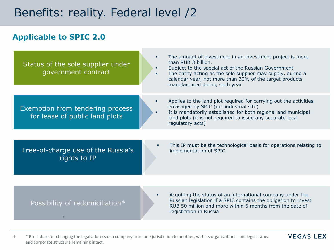## Benefits: reality. Federal level /2

### **Applicable to SPIC 2.0**

| Status of the sole supplier under<br>government contract           |   | The amount of investment in an investment project is more<br>than RUB 3 billion.<br>Subject to the special act of the Russian Government<br>The entity acting as the sole supplier may supply, during a<br>calendar year, not more than 30% of the target products<br>manufactured during such year |
|--------------------------------------------------------------------|---|-----------------------------------------------------------------------------------------------------------------------------------------------------------------------------------------------------------------------------------------------------------------------------------------------------|
| Exemption from tendering process<br>for lease of public land plots |   | Applies to the land plot required for carrying out the activities<br>envisaged by SPIC (i.e. industrial site)<br>It is mandatorily established for both regional and municipal<br>land plots (it is not required to issue any separate local<br>regulatory acts)                                    |
|                                                                    |   |                                                                                                                                                                                                                                                                                                     |
| Free-of-charge use of the Russia's<br>rights to IP                 | ٠ | This IP must be the technological basis for operations relating to<br>implementation of SPIC                                                                                                                                                                                                        |
|                                                                    |   |                                                                                                                                                                                                                                                                                                     |
| Possibility of redomiciliation*                                    |   | Acquiring the status of an international company under the<br>Russian legislation if a SPIC contains the obligation to invest<br>RUB 50 million and more within 6 months from the date of<br>registration in Russia                                                                                 |

4 \* Procedure for changing the legal address of a company from one jurisdiction to another, with its organizational and legal status and corporate structure remaining intact.

**VEGAS LEX**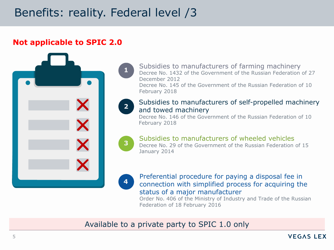# Benefits: reality. Federal level /3

### **Not applicable to SPIC 2.0**



Subsidies to manufacturers of farming machinery Decree No. 1432 of the Government of the Russian Federation of 27 December 2012

Decree No. 145 of the Government of the Russian Federation of 10 February 2018



**1**

#### Subsidies to manufacturers of self-propelled machinery and towed machinery

Decree No. 146 of the Government of the Russian Federation of 10 February 2018



#### Subsidies to manufacturers of wheeled vehicles

Decree No. 29 of the Government of the Russian Federation of 15 January 2014



Preferential procedure for paying a disposal fee in connection with simplified process for acquiring the status of a major manufacturer

Order No. 406 of the Ministry of Industry and Trade of the Russian Federation of 18 February 2016

Available to a private party to SPIC 1.0 only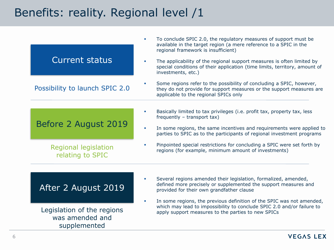| <b>Current status</b>                                                                | To conclude SPIC 2.0, the regulatory measures of support must be<br>$\blacksquare$<br>available in the target region (a mere reference to a SPIC in the<br>regional framework is insufficient)<br>The applicability of the regional support measures is often limited by<br>special conditions of their application (time limits, territory, amount of<br>investments, etc.)                                                                                       |
|--------------------------------------------------------------------------------------|--------------------------------------------------------------------------------------------------------------------------------------------------------------------------------------------------------------------------------------------------------------------------------------------------------------------------------------------------------------------------------------------------------------------------------------------------------------------|
| Possibility to launch SPIC 2.0                                                       | Some regions refer to the possibility of concluding a SPIC, however,<br>$\mathcal{L}_{\mathcal{A}}$<br>they do not provide for support measures or the support measures are<br>applicable to the regional SPICs only                                                                                                                                                                                                                                               |
| Before 2 August 2019<br><b>Regional legislation</b><br>relating to SPIC              | Basically limited to tax privileges (i.e. profit tax, property tax, less<br>$\blacksquare$<br>frequently $-$ transport tax)<br>In some regions, the same incentives and requirements were applied to<br>$\blacksquare$<br>parties to SPIC as to the participants of regional investment programs<br>Pinpointed special restrictions for concluding a SPIC were set forth by<br>$\mathcal{L}_{\mathcal{A}}$<br>regions (for example, minimum amount of investments) |
| After 2 August 2019<br>Legislation of the regions<br>was amended and<br>supplemented | Several regions amended their legislation, formalized, amended,<br>$\blacksquare$<br>defined more precisely or supplemented the support measures and<br>provided for their own grandfather clause<br>In some regions, the previous definition of the SPIC was not amended,<br>which may lead to impossibility to conclude SPIC 2.0 and/or failure to<br>apply support measures to the parties to new SPICs                                                         |

#### **VEGAS LEX**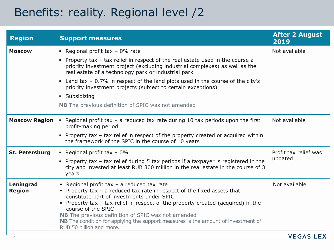| <b>Region</b>              | <b>Support measures</b>                                                                                                                                                                                                                                                                                                                                                                                                                                      | <b>After 2 August</b><br>2019 |
|----------------------------|--------------------------------------------------------------------------------------------------------------------------------------------------------------------------------------------------------------------------------------------------------------------------------------------------------------------------------------------------------------------------------------------------------------------------------------------------------------|-------------------------------|
| <b>Moscow</b>              | - Regional profit tax $-0\%$ rate                                                                                                                                                                                                                                                                                                                                                                                                                            | Not available                 |
|                            | • Property tax - tax relief in respect of the real estate used in the course a<br>priority investment project (excluding industrial complexes) as well as the<br>real estate of a technology park or industrial park                                                                                                                                                                                                                                         |                               |
|                            | • Land tax - 0.7% in respect of the land plots used in the course of the city's<br>priority investment projects (subject to certain exceptions)                                                                                                                                                                                                                                                                                                              |                               |
|                            | • Subsidizing                                                                                                                                                                                                                                                                                                                                                                                                                                                |                               |
|                            | <b>NB</b> The previous definition of SPIC was not amended                                                                                                                                                                                                                                                                                                                                                                                                    |                               |
| <b>Moscow Region</b>       | • Regional profit tax - a reduced tax rate during 10 tax periods upon the first<br>profit-making period                                                                                                                                                                                                                                                                                                                                                      | Not available                 |
|                            | • Property tax - tax relief in respect of the property created or acquired within<br>the framework of the SPIC in the course of 10 years                                                                                                                                                                                                                                                                                                                     |                               |
| St. Petersburg             | Regional profit tax $-0\%$                                                                                                                                                                                                                                                                                                                                                                                                                                   | Profit tax relief was         |
|                            | • Property tax - tax relief during 5 tax periods if a taxpayer is registered in the<br>city and invested at least RUB 300 million in the real estate in the course of 3<br>years                                                                                                                                                                                                                                                                             | updated                       |
| Leningrad<br><b>Region</b> | - Regional profit tax $-$ a reduced tax rate<br>Property tax $-$ a reduced tax rate in respect of the fixed assets that<br>constitute part of investments under SPIC<br>• Property tax - tax relief in respect of the property created (acquired) in the<br>course of the SPIC<br><b>NB</b> The previous definition of SPIC was not amended<br>NB The condition for applying the support measures is the amount of investment of<br>RUB 50 billion and more. | Not available                 |
|                            |                                                                                                                                                                                                                                                                                                                                                                                                                                                              | <u>VEGAS LE</u>               |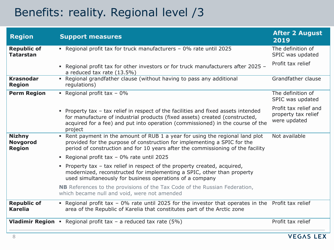| <b>Region</b>                                     | <b>Support measures</b>                                                                                                                                                                                                                                      | <b>After 2 August</b><br>2019                                |
|---------------------------------------------------|--------------------------------------------------------------------------------------------------------------------------------------------------------------------------------------------------------------------------------------------------------------|--------------------------------------------------------------|
| <b>Republic of</b><br><b>Tatarstan</b>            | - Regional profit tax for truck manufacturers - 0% rate until 2025                                                                                                                                                                                           | The definition of<br>SPIC was updated                        |
|                                                   | Regional profit tax for other investors or for truck manufacturers after 2025 -<br>×.<br>a reduced tax rate (13.5%)                                                                                                                                          | Profit tax relief                                            |
| <b>Krasnodar</b><br><b>Region</b>                 | • Regional grandfather clause (without having to pass any additional<br>regulations)                                                                                                                                                                         | Grandfather clause                                           |
| <b>Perm Region</b>                                | Regional profit tax $-0\%$                                                                                                                                                                                                                                   | The definition of<br>SPIC was updated                        |
|                                                   | Property tax - tax relief in respect of the facilities and fixed assets intended<br>for manufacture of industrial products (fixed assets) created (constructed,<br>acquired for a fee) and put into operation (commissioned) in the course of the<br>project | Profit tax relief and<br>property tax relief<br>were updated |
| <b>Nizhny</b><br><b>Novgorod</b><br><b>Region</b> | • Rent payment in the amount of RUB 1 a year for using the regional land plot<br>provided for the purpose of construction for implementing a SPIC for the<br>period of construction and for 10 years after the commissioning of the facility                 | Not available                                                |
|                                                   | • Regional profit tax - 0% rate until 2025                                                                                                                                                                                                                   |                                                              |
|                                                   | Property tax $-$ tax relief in respect of the property created, acquired,<br>٠<br>modernized, reconstructed for implementing a SPIC, other than property<br>used simultaneously for business operations of a company                                         |                                                              |
|                                                   | <b>NB</b> References to the provisions of the Tax Code of the Russian Federation,<br>which became null and void, were not amended                                                                                                                            |                                                              |
| <b>Republic of</b><br><b>Karelia</b>              | • Regional profit tax - 0% rate until 2025 for the investor that operates in the Profit tax relief<br>area of the Republic of Karelia that constitutes part of the Arctic zone                                                                               |                                                              |
|                                                   | <b>Vladimir Region</b> • Regional profit tax - a reduced tax rate $(5%)$                                                                                                                                                                                     | Profit tax relief                                            |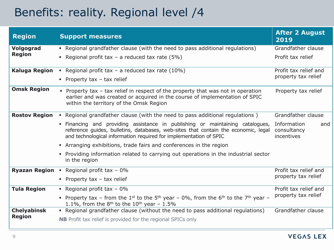| <b>Region</b>              | <b>Support measures</b>                                                                                                                                                                                                                  | <b>After 2 August</b><br>2019                   |
|----------------------------|------------------------------------------------------------------------------------------------------------------------------------------------------------------------------------------------------------------------------------------|-------------------------------------------------|
| Volgograd<br><b>Region</b> | • Regional grandfather clause (with the need to pass additional regulations)                                                                                                                                                             | Grandfather clause                              |
|                            | Regional profit tax - a reduced tax rate $(5%)$                                                                                                                                                                                          | Profit tax relief                               |
| <b>Kaluga Region</b>       | • Regional profit tax $-$ a reduced tax rate (10%)                                                                                                                                                                                       | Profit tax relief and                           |
|                            | • Property tax $-$ tax relief                                                                                                                                                                                                            | property tax relief                             |
| <b>Omsk Region</b>         | • Property tax – tax relief in respect of the property that was not in operation<br>earlier and was created or acquired in the course of implementation of SPIC<br>within the territory of the Omsk Region                               | Property tax relief                             |
| <b>Rostov Region</b>       | • Regional grandfather clause (with the need to pass additional regulations)                                                                                                                                                             | Grandfather clause                              |
|                            | . Financing and providing assistance in publishing or maintaining catalogues,<br>reference guides, bulletins, databases, web-sites that contain the economic, legal<br>and technological information required for implementation of SPIC | Information<br>and<br>consultancy<br>incentives |
|                            | • Arranging exhibitions, trade fairs and conferences in the region                                                                                                                                                                       |                                                 |
|                            | • Providing information related to carrying out operations in the industrial sector<br>in the region                                                                                                                                     |                                                 |
| <b>Ryazan Region</b>       | Regional profit tax $-0\%$                                                                                                                                                                                                               | Profit tax relief and                           |
|                            | • Property tax $-$ tax relief                                                                                                                                                                                                            | property tax relief                             |
| <b>Tula Region</b>         | Regional profit tax $-0\%$                                                                                                                                                                                                               | Profit tax relief and                           |
|                            | • Property tax – from the 1 <sup>st</sup> to the 5 <sup>th</sup> year – 0%, from the 6 <sup>th</sup> to the 7 <sup>th</sup> year –<br>1.1%, from the $8th$ to the 10 <sup>th</sup> year - 1.5%                                           | property tax relief                             |
| <b>Chelyabinsk</b>         | • Regional grandfather clause (without the need to pass additional regulations)                                                                                                                                                          | Grandfather clause                              |
| <b>Region</b>              | <b>NB</b> Profit tax relief is provided for the regional SPICs only                                                                                                                                                                      |                                                 |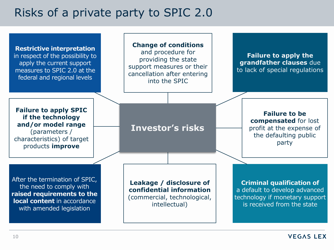### Risks of a private party to SPIC 2.0

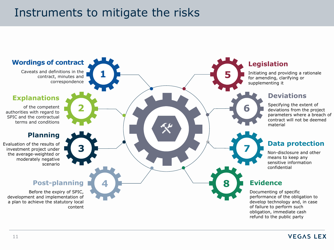## Instruments to mitigate the risks